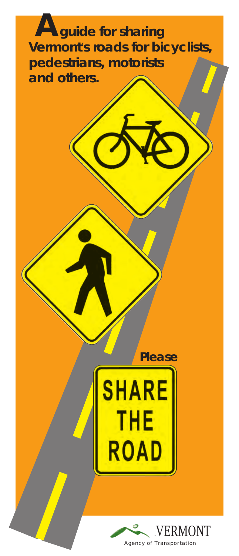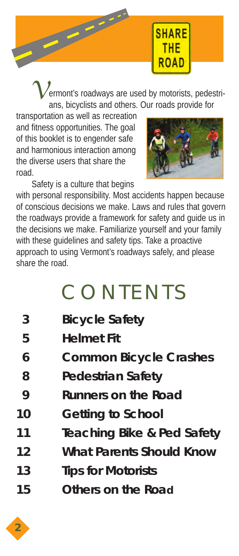

ermont's roadways are used by motorists, pedestrians, bicyclists and others. Our roads provide for

transportation as well as recreation and fitness opportunities. The goal of this booklet is to engender safe and harmonious interaction among the diverse users that share the road.



Safety is a culture that begins

with personal responsibility. Most accidents happen because of conscious decisions we make. Laws and rules that govern the roadways provide a framework for safety and guide us in the decisions we make. Familiarize yourself and your family with these guidelines and safety tips. Take a proactive approach to using Vermont's roadways safely, and please share the road.

## **CONTENTS**

| $\boldsymbol{\beta}$ | <b>Bicycle Safety</b>           |
|----------------------|---------------------------------|
| 5                    | <b>Helmet Fit</b>               |
| 6                    | <b>Common Bicycle Crashes</b>   |
| 8                    | <b>Pedestrian Safety</b>        |
| 9                    | <b>Runners on the Road</b>      |
| <i>10</i>            | <b>Getting to School</b>        |
| 11                   | Teaching Bike & Ped Safety      |
| 12                   | <b>What Parents Should Know</b> |
| 1.3                  | <b>Tips for Motorists</b>       |
| 15                   | Others on the Road              |

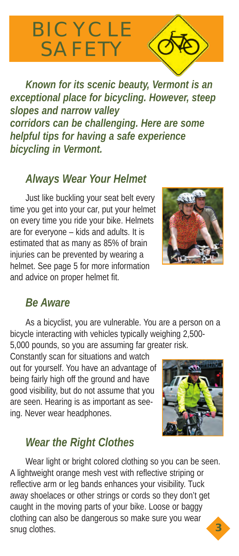# BICYCLE SAFETY

*Known for its scenic beauty, Vermont is an exceptional place for bicycling. However, steep slopes and narrow valley corridors can be challenging. Here are some helpful tips for having a safe experience bicycling in Vermont.* 

#### *Always Wear Your Helmet*

Just like buckling your seat belt every time you get into your car, put your helmet on every time you ride your bike. Helmets are for everyone – kids and adults. It is estimated that as many as 85% of brain injuries can be prevented by wearing a helmet. See page 5 for more information and advice on proper helmet fit.



#### *Be Aware*

As a bicyclist, you are vulnerable. You are a person on a bicycle interacting with vehicles typically weighing 2,500- 5,000 pounds, so you are assuming far greater risk.

Constantly scan for situations and watch out for yourself. You have an advantage of being fairly high off the ground and have good visibility, but do not assume that you are seen. Hearing is as important as seeing. Never wear headphones.



### *Wear the Right Clothes*

Wear light or bright colored clothing so you can be seen. A lightweight orange mesh vest with reflective striping or reflective arm or leg bands enhances your visibility. Tuck away shoelaces or other strings or cords so they don't get caught in the moving parts of your bike. Loose or baggy clothing can also be dangerous so make sure you wear snug clothes. *3*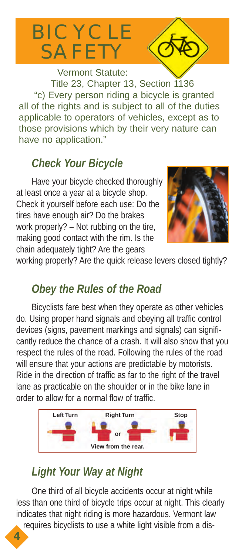## BICYCLE SAFETY

Vermont Statute: Title 23, Chapter 13, Section 1136 "c) Every person riding a bicycle is granted all of the rights and is subject to all of the duties applicable to operators of vehicles, except as to those provisions which by their very nature can have no application."

### *Check Your Bicycle*

Have your bicycle checked thoroughly at least once a year at a bicycle shop. Check it yourself before each use: Do the tires have enough air? Do the brakes work properly? – Not rubbing on the tire, making good contact with the rim. Is the chain adequately tight? Are the gears



working properly? Are the quick release levers closed tightly?

### *Obey the Rules of the Road*

Bicyclists fare best when they operate as other vehicles do. Using proper hand signals and obeying all traffic control devices (signs, pavement markings and signals) can significantly reduce the chance of a crash. It will also show that you respect the rules of the road. Following the rules of the road will ensure that your actions are predictable by motorists. Ride in the direction of traffic as far to the right of the travel lane as practicable on the shoulder or in the bike lane in order to allow for a normal flow of traffic.



### *Light Your Way at Night*

*4*

One third of all bicycle accidents occur at night while less than one third of bicycle trips occur at night. This clearly indicates that night riding is more hazardous. Vermont law requires bicyclists to use a white light visible from a dis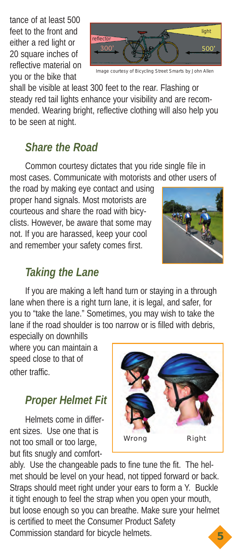tance of at least 500 feet to the front and either a red light or 20 square inches of reflective material on you or the bike that



Image courtesy of Bicycling Street Smarts by John Allen

shall be visible at least 300 feet to the rear. Flashing or steady red tail lights enhance your visibility and are recommended. Wearing bright, reflective clothing will also help you to be seen at night.

#### *Share the Road*

Common courtesy dictates that you ride single file in most cases. Communicate with motorists and other users of

the road by making eye contact and using proper hand signals. Most motorists are courteous and share the road with bicyclists. However, be aware that some may not. If you are harassed, keep your cool and remember your safety comes first.



#### *Taking the Lane*

If you are making a left hand turn or staying in a through lane when there is a right turn lane, it is legal, and safer, for you to "take the lane." Sometimes, you may wish to take the lane if the road shoulder is too narrow or is filled with debris, especially on downhills

where you can maintain a speed close to that of other traffic.

#### *Proper Helmet Fit*

Helmets come in different sizes. Use one that is not too small or too large, but fits snugly and comfort-



ably. Use the changeable pads to fine tune the fit. The helmet should be level on your head, not tipped forward or back. Straps should meet right under your ears to form a Y. Buckle it tight enough to feel the strap when you open your mouth, but loose enough so you can breathe. Make sure your helmet is certified to meet the Consumer Product Safety Commission standard for bicycle helmets. *5*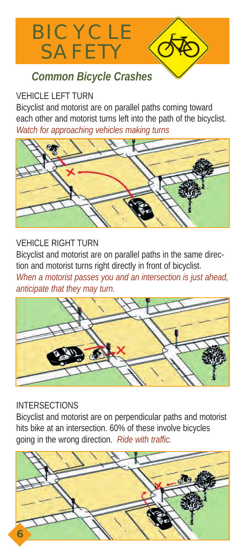

#### **VEHICLE LEFT TURN**

Bicyclist and motorist are on parallel paths coming toward each other and motorist turns left into the path of the bicyclist. *Watch for approaching vehicles making turns*



#### **VEHICLE RIGHT TURN**

Bicyclist and motorist are on parallel paths in the same direction and motorist turns right directly in front of bicyclist.

*When a motorist passes you and an intersection is just ahead, anticipate that they may turn.*



#### INTERSECTIONS

Bicyclist and motorist are on perpendicular paths and motorist hits bike at an intersection. 60% of these involve bicycles going in the wrong direction. *Ride with traffic.*

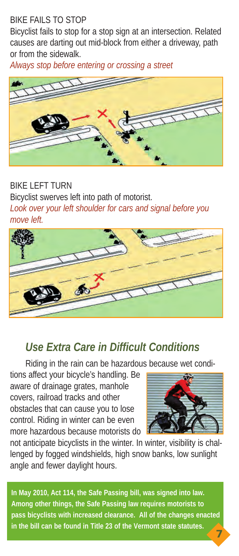#### BIKE FAILS TO STOP

Bicyclist fails to stop for a stop sign at an intersection. Related causes are darting out mid-block from either a driveway, path or from the sidewalk.

*Always stop before entering or crossing a street*



#### BIKE LEFT TURN Bicyclist swerves left into path of motorist. *Look over your left shoulder for cars and signal before you move left.*



#### *Use Extra Care in Difficult Conditions*

Riding in the rain can be hazardous because wet condi-

tions affect your bicycle's handling. Be aware of drainage grates, manhole covers, railroad tracks and other obstacles that can cause you to lose control. Riding in winter can be even more hazardous because motorists do



not anticipate bicyclists in the winter. In winter, visibility is challenged by fogged windshields, high snow banks, low sunlight angle and fewer daylight hours.

*7* **In May 2010, Act 114, the Safe Passing bill, was signed into law. Among other things, the Safe Passing law requires motorists to pass bicyclists with increased clearance. All of the changes enacted in the bill can be found in Title 23 of the Vermont state statutes.**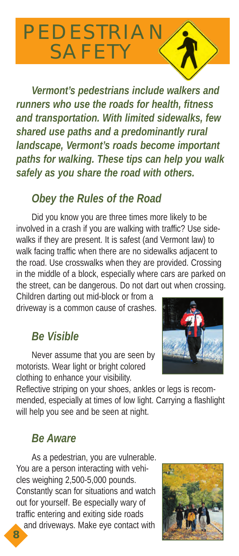## PEDESTRIAN SAFETY

*Vermont's pedestrians include walkers and runners who use the roads for health, fitness and transportation. With limited sidewalks, few shared use paths and a predominantly rural landscape, Vermont's roads become important paths for walking. These tips can help you walk safely as you share the road with others.*

#### *Obey the Rules of the Road*

Did you know you are three times more likely to be involved in a crash if you are walking with traffic? Use sidewalks if they are present. It is safest (and Vermont law) to walk facing traffic when there are no sidewalks adjacent to the road. Use crosswalks when they are provided. Crossing in the middle of a block, especially where cars are parked on the street, can be dangerous. Do not dart out when crossing.

Children darting out mid-block or from a driveway is a common cause of crashes.

#### *Be Visible*

Never assume that you are seen by motorists. Wear light or bright colored clothing to enhance your visibility.

Reflective striping on your shoes, ankles or legs is recommended, especially at times of low light. Carrying a flashlight will help you see and be seen at night.

#### *Be Aware*

As a pedestrian, you are vulnerable. You are a person interacting with vehicles weighing 2,500-5,000 pounds. Constantly scan for situations and watch out for yourself. Be especially wary of traffic entering and exiting side roads and driveways. Make eye contact with





*8*

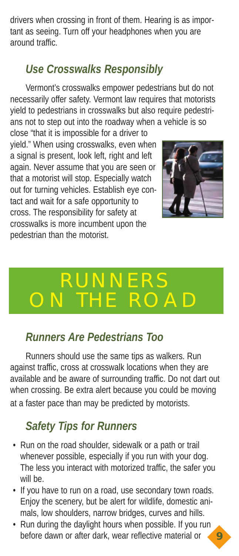drivers when crossing in front of them. Hearing is as important as seeing. Turn off your headphones when you are around traffic.

### *Use Crosswalks Responsibly*

Vermont's crosswalks empower pedestrians but do not necessarily offer safety. Vermont law requires that motorists yield to pedestrians in crosswalks but also require pedestrians not to step out into the roadway when a vehicle is so

close "that it is impossible for a driver to yield." When using crosswalks, even when a signal is present, look left, right and left again. Never assume that you are seen or that a motorist will stop. Especially watch out for turning vehicles. Establish eye contact and wait for a safe opportunity to cross. The responsibility for safety at crosswalks is more incumbent upon the pedestrian than the motorist.



*9*

## NERS  $R\cap A\Gamma$

#### *Runners Are Pedestrians Too*

Runners should use the same tips as walkers. Run against traffic, cross at crosswalk locations when they are available and be aware of surrounding traffic. Do not dart out when crossing. Be extra alert because you could be moving at a faster pace than may be predicted by motorists.

### *Safety Tips for Runners*

- Run on the road shoulder, sidewalk or a path or trail whenever possible, especially if you run with your dog. The less you interact with motorized traffic, the safer you will be.
- If you have to run on a road, use secondary town roads. Enjoy the scenery, but be alert for wildlife, domestic animals, low shoulders, narrow bridges, curves and hills.
- Run during the daylight hours when possible. If you run before dawn or after dark, wear reflective material or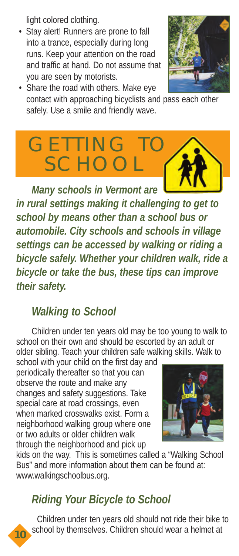light colored clothing.

• Stay alert! Runners are prone to fall into a trance, especially during long runs. Keep your attention on the road and traffic at hand. Do not assume that you are seen by motorists.



• Share the road with others. Make eye contact with approaching bicyclists and pass each other safely. Use a smile and friendly wave.



*in rural settings making it challenging to get to school by means other than a school bus or automobile. City schools and schools in village settings can be accessed by walking or riding a bicycle safely. Whether your children walk, ride a bicycle or take the bus, these tips can improve their safety.*

#### *Walking to School*

Children under ten years old may be too young to walk to school on their own and should be escorted by an adult or older sibling. Teach your children safe walking skills. Walk to

school with your child on the first day and periodically thereafter so that you can observe the route and make any changes and safety suggestions. Take special care at road crossings, even when marked crosswalks exist. Form a neighborhood walking group where one or two adults or older children walk through the neighborhood and pick up



kids on the way. This is sometimes called a "Walking School Bus" and more information about them can be found at: www.walkingschoolbus.org.

### *Riding Your Bicycle to School*

*10*

Children under ten years old should not ride their bike to school by themselves. Children should wear a helmet at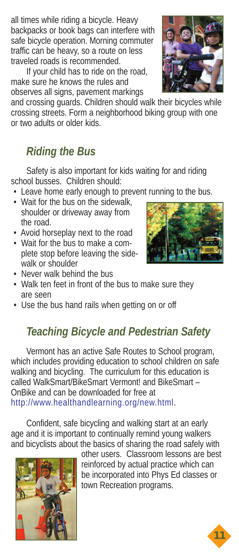all times while riding a bicycle. Heavy backpacks or book bags can interfere with safe bicycle operation. Morning commuter traffic can be heavy, so a route on less traveled roads is recommended.

If your child has to ride on the road, make sure he knows the rules and observes all signs, pavement markings

and crossing guards. Children should walk their bicycles while crossing streets. Form a neighborhood biking group with one or two adults or older kids.

### *Riding the Bus*

Safety is also important for kids waiting for and riding school busses. Children should:

- Leave home early enough to prevent running to the bus.
- Wait for the bus on the sidewalk, shoulder or driveway away from the road.
- Avoid horseplay next to the road
- Wait for the bus to make a complete stop before leaving the sidewalk or shoulder
- Never walk behind the bus
- Walk ten feet in front of the bus to make sure they are seen
- Use the bus hand rails when getting on or off

### *Teaching Bicycle and Pedestrian Safety*

Vermont has an active Safe Routes to School program, which includes providing education to school children on safe walking and bicycling. The curriculum for this education is called WalkSmart/BikeSmart Vermont! and BikeSmart – OnBike and can be downloaded for free at http://www.healthandlearning.org/new.html.

Confident, safe bicycling and walking start at an early age and it is important to continually remind young walkers and bicyclists about the basics of sharing the road safely with



other users. Classroom lessons are best reinforced by actual practice which can be incorporated into Phys Ed classes or town Recreation programs.





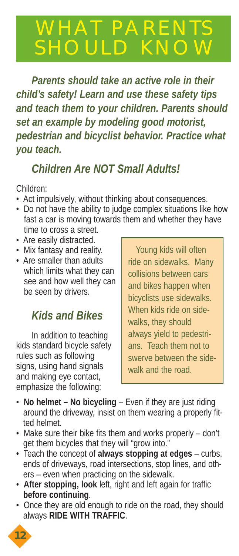## WHAT PARENT SHOULD KNOY

*Parents should take an active role in their child's safety! Learn and use these safety tips and teach them to your children. Parents should set an example by modeling good motorist, pedestrian and bicyclist behavior. Practice what you teach.*

#### *Children Are NOT Small Adults!*

Children:

- Act impulsively, without thinking about consequences.
- Do not have the ability to judge complex situations like how fast a car is moving towards them and whether they have time to cross a street.
- Are easily distracted.
- Mix fantasy and reality.
- Are smaller than adults which limits what they can see and how well they can be seen by drivers.

### *Kids and Bikes*

In addition to teaching kids standard bicycle safety rules such as following signs, using hand signals and making eye contact, emphasize the following:

Young kids will often ride on sidewalks. Many collisions between cars and bikes happen when bicyclists use sidewalks. When kids ride on sidewalks, they should always yield to pedestrians. Teach them not to swerve between the sidewalk and the road.

- **No helmet No bicycling**  Even if they are just riding around the driveway, insist on them wearing a properly fitted helmet.
- Make sure their bike fits them and works properly don't get them bicycles that they will "grow into."
- Teach the concept of **always stopping at edges** curbs, ends of driveways, road intersections, stop lines, and others – even when practicing on the sidewalk.
- **After stopping, look** left, right and left again for traffic **before continuing**.
- Once they are old enough to ride on the road, they should always **RIDE WITH TRAFFIC**.

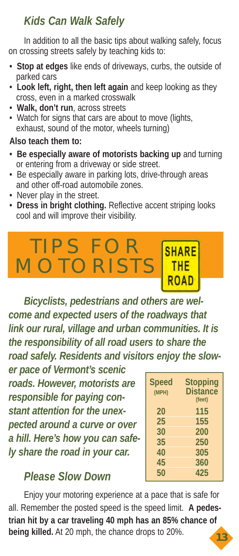### *Kids Can Walk Safely*

In addition to all the basic tips about walking safely, focus on crossing streets safely by teaching kids to:

- **Stop at edges** like ends of driveways, curbs, the outside of parked cars
- **Look left, right, then left again** and keep looking as they cross, even in a marked crosswalk
- **Walk, don't run**, across streets
- Watch for signs that cars are about to move (lights, exhaust, sound of the motor, wheels turning)

#### **Also teach them to:**

- **Be especially aware of motorists backing up** and turning or entering from a driveway or side street.
- Be especially aware in parking lots, drive-through areas and other off-road automobile zones.
- Never play in the street.
- **Dress in bright clothing.** Reflective accent striping looks cool and will improve their visibility.

### TIPS FOR **SHARE** MOTORISTS

*Bicyclists, pedestrians and others are welcome and expected users of the roadways that link our rural, village and urban communities. It is the responsibility of all road users to share the road safely. Residents and visitors enjoy the slow-*

*er pace of Vermont's scenic roads. However, motorists are responsible for paying constant attention for the unexpected around a curve or over a hill. Here's how you can safely share the road in your car.*

#### **Speed Stopping (MPH) Distance (feet) 20 115 25 155 30 200 35 250 40 305 45 360 50 425**

### *Please Slow Down*

Enjoy your motoring experience at a pace that is safe for all. Remember the posted speed is the speed limit. **A pedestrian hit by a car traveling 40 mph has an 85% chance of being killed.** At 20 mph, the chance drops to 20%.

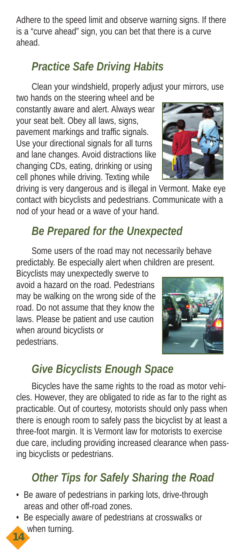Adhere to the speed limit and observe warning signs. If there is a "curve ahead" sign, you can bet that there is a curve ahead.

### *Practice Safe Driving Habits*

Clean your windshield, properly adjust your mirrors, use

two hands on the steering wheel and be constantly aware and alert. Always wear your seat belt. Obey all laws, signs, pavement markings and traffic signals. Use your directional signals for all turns and lane changes. Avoid distractions like changing CDs, eating, drinking or using cell phones while driving. Texting while

driving is very dangerous and is illegal in Vermont. Make eye contact with bicyclists and pedestrians. Communicate with a nod of your head or a wave of your hand.

#### *Be Prepared for the Unexpected*

Some users of the road may not necessarily behave predictably. Be especially alert when children are present.

Bicyclists may unexpectedly swerve to avoid a hazard on the road. Pedestrians may be walking on the wrong side of the road. Do not assume that they know the laws. Please be patient and use caution when around bicyclists or pedestrians.

#### *Give Bicyclists Enough Space*

Bicycles have the same rights to the road as motor vehicles. However, they are obligated to ride as far to the right as practicable. Out of courtesy, motorists should only pass when there is enough room to safely pass the bicyclist by at least a three-foot margin. It is Vermont law for motorists to exercise due care, including providing increased clearance when passing bicyclists or pedestrians.

### *Other Tips for Safely Sharing the Road*

- Be aware of pedestrians in parking lots, drive-through areas and other off-road zones.
- Be especially aware of pedestrians at crosswalks or when turning.



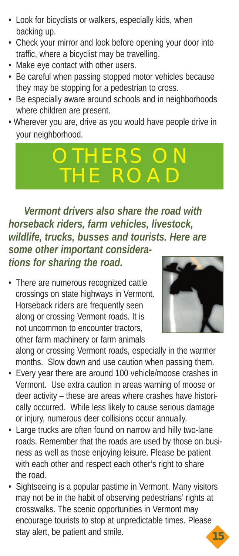- Look for bicyclists or walkers, especially kids, when backing up.
- Check your mirror and look before opening your door into traffic, where a bicyclist may be travelling.
- Make eye contact with other users.
- Be careful when passing stopped motor vehicles because they may be stopping for a pedestrian to cross.
- Be especially aware around schools and in neighborhoods where children are present.
- Wherever you are, drive as you would have people drive in your neighborhood.

## IERS THE ROAD

*Vermont drivers also share the road with horseback riders, farm vehicles, livestock, wildlife, trucks, busses and tourists. Here are some other important considerations for sharing the road.*

• There are numerous recognized cattle crossings on state highways in Vermont. Horseback riders are frequently seen along or crossing Vermont roads. It is not uncommon to encounter tractors, other farm machinery or farm animals



along or crossing Vermont roads, especially in the warmer months. Slow down and use caution when passing them.

- Every year there are around 100 vehicle/moose crashes in Vermont. Use extra caution in areas warning of moose or deer activity – these are areas where crashes have historically occurred. While less likely to cause serious damage or injury, numerous deer collisions occur annually.
- Large trucks are often found on narrow and hilly two-lane roads. Remember that the roads are used by those on business as well as those enjoying leisure. Please be patient with each other and respect each other's right to share the road.
- Sightseeing is a popular pastime in Vermont. Many visitors may not be in the habit of observing pedestrians' rights at crosswalks. The scenic opportunities in Vermont may encourage tourists to stop at unpredictable times. Please stay alert, be patient and smile. *15*